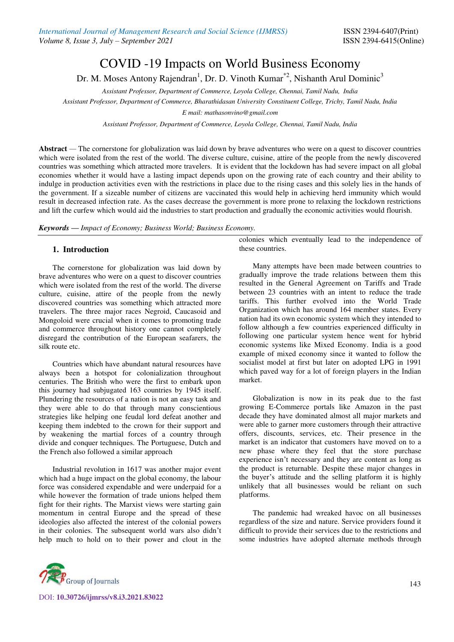# COVID -19 Impacts on World Business Economy

Dr. M. Moses Antony Rajendran<sup>1</sup>, Dr. D. Vinoth Kumar<sup>\*2</sup>, Nishanth Arul Dominic<sup>3</sup>

*Assistant Professor, Department of Commerce, Loyola College, Chennai, Tamil Nadu, India* 

*Assistant Professor, Department of Commerce, Bharathidasan University Constituent College, Trichy, Tamil Nadu, India* 

*E mail: [mathasonvino@gmail.com](mailto:mathasonvino@gmail.com)* 

*Assistant Professor, Department of Commerce, Loyola College, Chennai, Tamil Nadu, India* 

Abstract — The cornerstone for globalization was laid down by brave adventures who were on a quest to discover countries which were isolated from the rest of the world. The diverse culture, cuisine, attire of the people from the newly discovered countries was something which attracted more travelers. It is evident that the lockdown has had severe impact on all global economies whether it would have a lasting impact depends upon on the growing rate of each country and their ability to indulge in production activities even with the restrictions in place due to the rising cases and this solely lies in the hands of the government. If a sizeable number of citizens are vaccinated this would help in achieving herd immunity which would result in decreased infection rate. As the cases decrease the government is more prone to relaxing the lockdown restrictions and lift the curfew which would aid the industries to start production and gradually the economic activities would flourish.

*Keywords — Impact of Economy; Business World; Business Economy.*

## **1. Introduction**

The cornerstone for globalization was laid down by brave adventures who were on a quest to discover countries which were isolated from the rest of the world. The diverse culture, cuisine, attire of the people from the newly discovered countries was something which attracted more travelers. The three major races Negroid, Caucasoid and Mongoloid were crucial when it comes to promoting trade and commerce throughout history one cannot completely disregard the contribution of the European seafarers, the silk route etc.

Countries which have abundant natural resources have always been a hotspot for colonialization throughout centuries. The British who were the first to embark upon this journey had subjugated 163 countries by 1945 itself. Plundering the resources of a nation is not an easy task and they were able to do that through many conscientious strategies like helping one feudal lord defeat another and keeping them indebted to the crown for their support and by weakening the martial forces of a country through divide and conquer techniques. The Portuguese, Dutch and the French also followed a similar approach

Industrial revolution in 1617 was another major event which had a huge impact on the global economy, the labour force was considered expendable and were underpaid for a while however the formation of trade unions helped them fight for their rights. The Marxist views were starting gain momentum in central Europe and the spread of these ideologies also affected the interest of the colonial powers in their colonies. The subsequent world wars also didn't help much to hold on to their power and clout in the colonies which eventually lead to the independence of these countries.

Many attempts have been made between countries to gradually improve the trade relations between them this resulted in the General Agreement on Tariffs and Trade between 23 countries with an intent to reduce the trade tariffs. This further evolved into the World Trade Organization which has around 164 member states. Every nation had its own economic system which they intended to follow although a few countries experienced difficulty in following one particular system hence went for hybrid economic systems like Mixed Economy. India is a good example of mixed economy since it wanted to follow the socialist model at first but later on adopted LPG in 1991 which paved way for a lot of foreign players in the Indian market.

Globalization is now in its peak due to the fast growing E-Commerce portals like Amazon in the past decade they have dominated almost all major markets and were able to garner more customers through their attractive offers, discounts, services, etc. Their presence in the market is an indicator that customers have moved on to a new phase where they feel that the store purchase experience isn't necessary and they are content as long as the product is returnable. Despite these major changes in the buyer's attitude and the selling platform it is highly unlikely that all businesses would be reliant on such platforms.

The pandemic had wreaked havoc on all businesses regardless of the size and nature. Service providers found it difficult to provide their services due to the restrictions and some industries have adopted alternate methods through



DOI: **10.30726/ijmrss/v8.i3.2021.83022**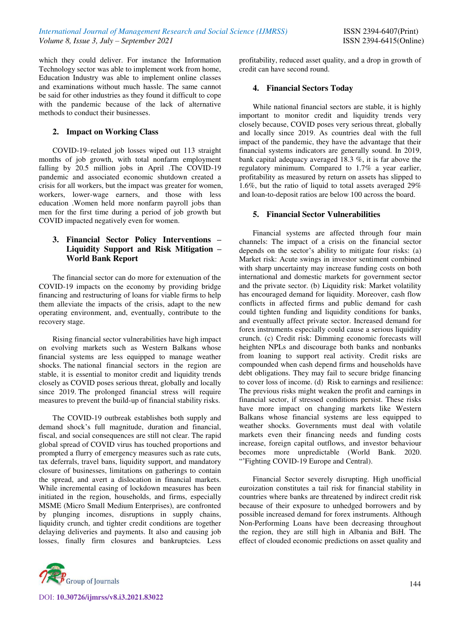which they could deliver. For instance the Information Technology sector was able to implement work from home, Education Industry was able to implement online classes and examinations without much hassle. The same cannot be said for other industries as they found it difficult to cope with the pandemic because of the lack of alternative methods to conduct their businesses.

# **2. Impact on Working Class**

 COVID-19–related job losses wiped out 113 straight months of job growth, with total nonfarm employment falling by 20.5 million jobs in April .The COVID-19 pandemic and associated economic shutdown created a crisis for all workers, but the impact was greater for women, workers, lower-wage earners, and those with less education .Women held more nonfarm payroll jobs than men for the first time during a period of job growth but COVID impacted negatively even for women.

# **3. Financial Sector Policy Interventions – Liquidity Support and Risk Mitigation – World Bank Report**

 The financial sector can do more for extenuation of the COVID-19 impacts on the economy by providing bridge financing and restructuring of loans for viable firms to help them alleviate the impacts of the crisis, adapt to the new operating environment, and, eventually, contribute to the recovery stage.

 Rising financial sector vulnerabilities have high impact on evolving markets such as Western Balkans whose financial systems are less equipped to manage weather shocks. The national financial sectors in the region are stable, it is essential to monitor credit and liquidity trends closely as COVID poses serious threat, globally and locally since 2019. The prolonged financial stress will require measures to prevent the build-up of financial stability risks.

The COVID-19 outbreak establishes both supply and demand shock's full magnitude, duration and financial, fiscal, and social consequences are still not clear. The rapid global spread of COVID virus has touched proportions and prompted a flurry of emergency measures such as rate cuts, tax deferrals, travel bans, liquidity support, and mandatory closure of businesses, limitations on gatherings to contain the spread, and avert a dislocation in financial markets. While incremental easing of lockdown measures has been initiated in the region, households, and firms, especially MSME (Micro Small Medium Enterprises), are confronted by plunging incomes, disruptions in supply chains, liquidity crunch, and tighter credit conditions are together delaying deliveries and payments. It also and causing job losses, finally firm closures and bankruptcies. Less



# **4. Financial Sectors Today**

While national financial sectors are stable, it is highly important to monitor credit and liquidity trends very closely because, COVID poses very serious threat, globally and locally since 2019. As countries deal with the full impact of the pandemic, they have the advantage that their financial systems indicators are generally sound. In 2019, bank capital adequacy averaged 18.3 %, it is far above the regulatory minimum. Compared to 1.7% a year earlier, profitability as measured by return on assets has slipped to 1.6%, but the ratio of liquid to total assets averaged 29% and loan-to-deposit ratios are below 100 across the board.

## **5. Financial Sector Vulnerabilities**

Financial systems are affected through four main channels: The impact of a crisis on the financial sector depends on the sector's ability to mitigate four risks: (a) Market risk: Acute swings in investor sentiment combined with sharp uncertainty may increase funding costs on both international and domestic markets for government sector and the private sector. (b) Liquidity risk: Market volatility has encouraged demand for liquidity. Moreover, cash flow conflicts in affected firms and public demand for cash could tighten funding and liquidity conditions for banks, and eventually affect private sector. Increased demand for forex instruments especially could cause a serious liquidity crunch. (c) Credit risk: Dimming economic forecasts will heighten NPLs and discourage both banks and nonbanks from loaning to support real activity. Credit risks are compounded when cash depend firms and households have debt obligations. They may fail to secure bridge financing to cover loss of income. (d) Risk to earnings and resilience: The previous risks might weaken the profit and earnings in financial sector, if stressed conditions persist. These risks have more impact on changing markets like Western Balkans whose financial systems are less equipped to weather shocks. Governments must deal with volatile markets even their financing needs and funding costs increase, foreign capital outflows, and investor behaviour becomes more unpredictable (World Bank. 2020. "'Fighting COVID-19 Europe and Central).

Financial Sector severely disrupting. High unofficial euroization constitutes a tail risk for financial stability in countries where banks are threatened by indirect credit risk because of their exposure to unhedged borrowers and by possible increased demand for forex instruments. Although Non-Performing Loans have been decreasing throughout the region, they are still high in Albania and BiH. The effect of clouded economic predictions on asset quality and

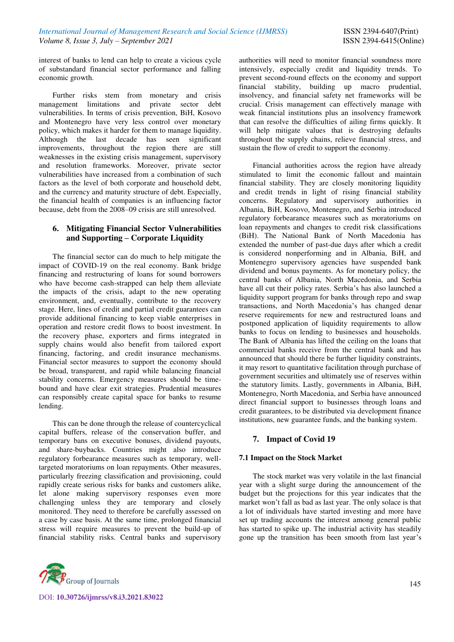interest of banks to lend can help to create a vicious cycle of substandard financial sector performance and falling economic growth.

Further risks stem from monetary and crisis management limitations and private sector debt vulnerabilities. In terms of crisis prevention, BiH, Kosovo and Montenegro have very less control over monetary policy, which makes it harder for them to manage liquidity. Although the last decade has seen significant improvements, throughout the region there are still weaknesses in the existing crisis management, supervisory and resolution frameworks. Moreover, private sector vulnerabilities have increased from a combination of such factors as the level of both corporate and household debt, and the currency and maturity structure of debt. Especially, the financial health of companies is an influencing factor because, debt from the 2008–09 crisis are still unresolved.

# **6. Mitigating Financial Sector Vulnerabilities and Supporting – Corporate Liquidity**

The financial sector can do much to help mitigate the impact of COVID-19 on the real economy. Bank bridge financing and restructuring of loans for sound borrowers who have become cash-strapped can help them alleviate the impacts of the crisis, adapt to the new operating environment, and, eventually, contribute to the recovery stage. Here, lines of credit and partial credit guarantees can provide additional financing to keep viable enterprises in operation and restore credit flows to boost investment. In the recovery phase, exporters and firms integrated in supply chains would also benefit from tailored export financing, factoring, and credit insurance mechanisms. Financial sector measures to support the economy should be broad, transparent, and rapid while balancing financial stability concerns. Emergency measures should be timebound and have clear exit strategies. Prudential measures can responsibly create capital space for banks to resume lending.

 This can be done through the release of countercyclical capital buffers, release of the conservation buffer, and temporary bans on executive bonuses, dividend payouts, and share-buybacks. Countries might also introduce regulatory forbearance measures such as temporary, welltargeted moratoriums on loan repayments. Other measures, particularly freezing classification and provisioning, could rapidly create serious risks for banks and customers alike, let alone making supervisory responses even more challenging unless they are temporary and closely monitored. They need to therefore be carefully assessed on a case by case basis. At the same time, prolonged financial stress will require measures to prevent the build-up of financial stability risks. Central banks and supervisory



DOI: **10.30726/ijmrss/v8.i3.2021.83022**

authorities will need to monitor financial soundness more intensively, especially credit and liquidity trends. To prevent second-round effects on the economy and support financial stability, building up macro prudential, insolvency, and financial safety net frameworks will be crucial. Crisis management can effectively manage with weak financial institutions plus an insolvency framework that can resolve the difficulties of ailing firms quickly. It will help mitigate values that is destroying defaults throughout the supply chains, relieve financial stress, and sustain the flow of credit to support the economy.

Financial authorities across the region have already stimulated to limit the economic fallout and maintain financial stability. They are closely monitoring liquidity and credit trends in light of rising financial stability concerns. Regulatory and supervisory authorities in Albania, BiH, Kosovo, Montenegro, and Serbia introduced regulatory forbearance measures such as moratoriums on loan repayments and changes to credit risk classifications (BiH). The National Bank of North Macedonia has extended the number of past-due days after which a credit is considered nonperforming and in Albania, BiH, and Montenegro supervisory agencies have suspended bank dividend and bonus payments. As for monetary policy, the central banks of Albania, North Macedonia, and Serbia have all cut their policy rates. Serbia's has also launched a liquidity support program for banks through repo and swap transactions, and North Macedonia's has changed denar reserve requirements for new and restructured loans and postponed application of liquidity requirements to allow banks to focus on lending to businesses and households. The Bank of Albania has lifted the ceiling on the loans that commercial banks receive from the central bank and has announced that should there be further liquidity constraints, it may resort to quantitative facilitation through purchase of government securities and ultimately use of reserves within the statutory limits. Lastly, governments in Albania, BiH, Montenegro, North Macedonia, and Serbia have announced direct financial support to businesses through loans and credit guarantees, to be distributed via development finance institutions, new guarantee funds, and the banking system.

# **7. Impact of Covid 19**

## **7.1 Impact on the Stock Market**

The stock market was very volatile in the last financial year with a slight surge during the announcement of the budget but the projections for this year indicates that the market won't fall as bad as last year. The only solace is that a lot of individuals have started investing and more have set up trading accounts the interest among general public has started to spike up. The industrial activity has steadily gone up the transition has been smooth from last year's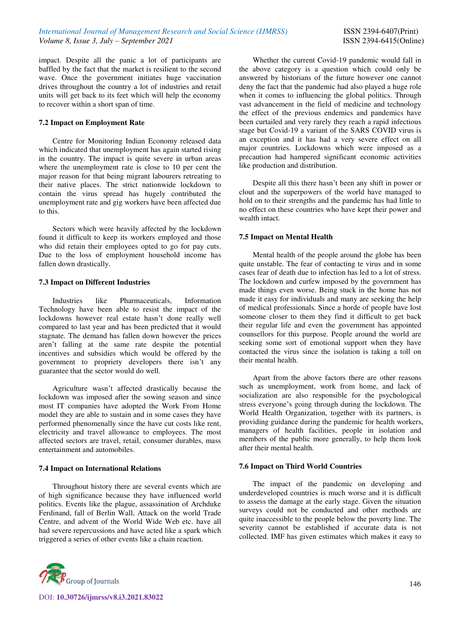impact. Despite all the panic a lot of participants are baffled by the fact that the market is resilient to the second wave. Once the government initiates huge vaccination drives throughout the country a lot of industries and retail units will get back to its feet which will help the economy to recover within a short span of time.

## **7.2 Impact on Employment Rate**

Centre for Monitoring Indian Economy released data which indicated that unemployment has again started rising in the country. The impact is quite severe in urban areas where the unemployment rate is close to 10 per cent the major reason for that being migrant labourers retreating to their native places. The strict nationwide lockdown to contain the virus spread has hugely contributed the unemployment rate and gig workers have been affected due to this.

Sectors which were heavily affected by the lockdown found it difficult to keep its workers employed and those who did retain their employees opted to go for pay cuts. Due to the loss of employment household income has fallen down drastically.

## **7.3 Impact on Different Industries**

Industries like Pharmaceuticals, Information Technology have been able to resist the impact of the lockdowns however real estate hasn't done really well compared to last year and has been predicted that it would stagnate. The demand has fallen down however the prices aren't falling at the same rate despite the potential incentives and subsidies which would be offered by the government to propriety developers there isn't any guarantee that the sector would do well.

Agriculture wasn't affected drastically because the lockdown was imposed after the sowing season and since most IT companies have adopted the Work From Home model they are able to sustain and in some cases they have performed phenomenally since the have cut costs like rent, electricity and travel allowance to employees. The most affected sectors are travel, retail, consumer durables, mass entertainment and automobiles.

#### **7.4 Impact on International Relations**

Throughout history there are several events which are of high significance because they have influenced world politics. Events like the plague, assassination of Archduke Ferdinand, fall of Berlin Wall, Attack on the world Trade Centre, and advent of the World Wide Web etc. have all had severe repercussions and have acted like a spark which triggered a series of other events like a chain reaction.

146

DOI: **10.30726/ijmrss/v8.i3.2021.83022**

Whether the current Covid-19 pandemic would fall in the above category is a question which could only be answered by historians of the future however one cannot deny the fact that the pandemic had also played a huge role when it comes to influencing the global politics. Through vast advancement in the field of medicine and technology the effect of the previous endemics and pandemics have been curtailed and very rarely they reach a rapid infectious stage but Covid-19 a variant of the SARS COVID virus is an exception and it has had a very severe effect on all major countries. Lockdowns which were imposed as a precaution had hampered significant economic activities like production and distribution.

Despite all this there hasn't been any shift in power or clout and the superpowers of the world have managed to hold on to their strengths and the pandemic has had little to no effect on these countries who have kept their power and wealth intact.

## **7.5 Impact on Mental Health**

Mental health of the people around the globe has been quite unstable. The fear of contacting te virus and in some cases fear of death due to infection has led to a lot of stress. The lockdown and curfew imposed by the government has made things even worse. Being stuck in the home has not made it easy for individuals and many are seeking the help of medical professionals. Since a horde of people have lost someone closer to them they find it difficult to get back their regular life and even the government has appointed counsellors for this purpose. People around the world are seeking some sort of emotional support when they have contacted the virus since the isolation is taking a toll on their mental health.

Apart from the above factors there are other reasons such as unemployment, work from home, and lack of socialization are also responsible for the psychological stress everyone's going through during the lockdown. The World Health Organization, together with its partners, is providing guidance during the pandemic for health workers, managers of health facilities, people in isolation and members of the public more generally, to help them look after their mental health.

#### **7.6 Impact on Third World Countries**

The impact of the pandemic on developing and underdeveloped countries is much worse and it is difficult to assess the damage at the early stage. Given the situation surveys could not be conducted and other methods are quite inaccessible to the people below the poverty line. The severity cannot be established if accurate data is not collected. IMF has given estimates which makes it easy to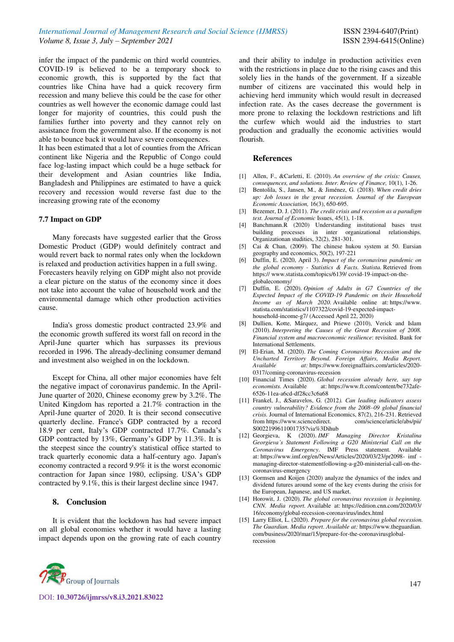infer the impact of the pandemic on third world countries. COVID-19 is believed to be a temporary shock to economic growth, this is supported by the fact that countries like China have had a quick recovery firm recession and many believe this could be the case for other countries as well however the economic damage could last longer for majority of countries, this could push the families further into poverty and they cannot rely on assistance from the government also. If the economy is not able to bounce back it would have severe consequences.

It has been estimated that a lot of counties from the African continent like Nigeria and the Republic of Congo could face log-lasting impact which could be a huge setback for their development and Asian countries like India, Bangladesh and Philippines are estimated to have a quick recovery and recession would reverse fast due to the increasing growing rate of the economy

## **7.7 Impact on GDP**

Many forecasts have suggested earlier that the Gross Domestic Product (GDP) would definitely contract and would revert back to normal rates only when the lockdown is relaxed and production activities happen in a full swing. Forecasters heavily relying on GDP might also not provide a clear picture on the status of the economy since it does not take into account the value of household work and the environmental damage which other production activities cause.

India's gross domestic product contracted 23.9% and the economic growth suffered its worst fall on record in the April-June quarter which has surpasses its previous recorded in 1996. The already-declining consumer demand and investment also weighed in on the lockdown.

Except for China, all other major economies have felt the negative impact of coronavirus pandemic. In the April-June quarter of 2020, Chinese economy grew by 3.2%. The United Kingdom has reported a 21.7% contraction in the April-June quarter of 2020. It is their second consecutive quarterly decline. France's GDP contracted by a record 18.9 per cent, Italy's GDP contracted 17.7%. Canada's GDP contracted by 13%, Germany's GDP by 11.3%. It is the steepest since the country's statistical office started to track quarterly economic data a half-century ago. Japan's economy contracted a record 9.9% it is the worst economic contraction for Japan since 1980, eclipsing. USA's GDP contracted by 9.1%, this is their largest decline since 1947.

## **8. Conclusion**

It is evident that the lockdown has had severe impact on all global economies whether it would have a lasting impact depends upon on the growing rate of each country



DOI: **10.30726/ijmrss/v8.i3.2021.83022**

and their ability to indulge in production activities even with the restrictions in place due to the rising cases and this solely lies in the hands of the government. If a sizeable number of citizens are vaccinated this would help in achieving herd immunity which would result in decreased infection rate. As the cases decrease the government is more prone to relaxing the lockdown restrictions and lift the curfew which would aid the industries to start production and gradually the economic activities would flourish.

## **References**

- [1] Allen, F., &Carletti, E. (2010). *An overview of the crisis: Causes, consequences, and solutions. Inter. Review of Finance,* 10(1), 1-26.
- [2] Bentolila, S., Jansen, M., & Jiménez, G. (2018). *When credit dries up: Job losses in the great recession. Journal of the European Economic Association,* 16(3), 650-695.
- [3] Bezemer, D. J. (2011). *The credit crisis and recession as a paradigm test. Journal of Economic* Issues, 45(1), 1-18.
- [4] Banchmann.R (2020) Understanding institutional bases trust building processes in inter organizational relationships. Organizationan studities, 32(2), 281-301.
- [5] Cai & Chan, (2009). The chinese hukou system at 50. Eursian geography and economics, 50(2), 197-221
- [6] Duffin, E. (2020, April 3). *Impact of the coronavirus pandemic on the global economy - Statistics & Facts. Statista.* Retrieved from https:/[/ www.statista.com/topics/6139/](http://www.statista.com/topics/6139/) covid-19-impact-on-theglobaleconomy/
- [7] Duffin, E. (2020). *Opinion of Adults in G7 Countries of the Expected Impact of the COVID-19 Pandemic on their Household Income as of March 2020*. Available online at: https://www. statista.com/statistics/1107322/covid-19-expected-impacthousehold-income-g7/ (Accessed April 22, 2020)
- [8] Dullien, Kotte, Márquez, and Priewe (2010), Verick and Islam (2010). *Interpreting the Causes of the Great Recession of 2008. Financial system and macroeconomic resilience*: revisited. Bank for International Settlements.
- [9] El-Erian, M. (2020). *The Coming Coronavirus Recession and the Uncharted Territory Beyond. Foreign Affairs, Media Report. Available at:* [https://www.foreignaffairs.com/articles/2020-](https://www.foreignaffairs.com/articles/2020-0317/coming-coronavirus-recession) [0317/coming-coronavirus-recession](https://www.foreignaffairs.com/articles/2020-0317/coming-coronavirus-recession)
- [10] Financial Times (2020). *Global recession already here, say top economists.* Available at[: https://www.ft.com/content/be732afe-](https://www.ft.com/content/be732afe-6526-11ea-a6cd-df28cc3c6a68)[6526-11ea-a6cd-df28cc3c6a68](https://www.ft.com/content/be732afe-6526-11ea-a6cd-df28cc3c6a68)
- [11] Frankel, J., &Saravelos, G. (2012*). Can leading indicators assess country vulnerability? Evidence from the 2008–09 global financial crisis.* Journal of International Economics, 87(2), 216-231. Retrieved from https://www.sciencedirect. com/science/article/abs/pii/ from https://www.sciencedirect. S0022199611001735?via%3Dihub
- [12] Georgieva, K (2020). *IMF Managing Director Kristalina Georgieva's Statement Following a G20 Ministerial Call on the Coronavirus Emergency*. IMF Press statement. Available at: https://www.imf.org/en/News/Articles/2020/03/23/pr2098- imf managing-director-statementfollowing-a-g20-ministerial-call-on-thecoronavirus-emergency
- [13] Gormsen and Koijen (2020) analyze the dynamics of the index and dividend futures around some of the key events during the crisis for the European, Japanese, and US market.
- [14] Horowit, J. (2020). *The global coronavirus recession is beginning. CNN. Media report.* Available at: https://edition.cnn.com/2020/03/ 16/economy/global-recession-coronavirus/index.html
- [15] Larry Elliot, L. (2020). *Prepare for the coronavirus global recession. The Guardian. Media report. Available at:* [https://www.theguardian.](https://www.theguardian.com/business/2020/mar/15/prepare-for-the-coronavirusglobal-recession)  [com/business/2020/mar/15/prepare-for-the-coronavirusglobal](https://www.theguardian.com/business/2020/mar/15/prepare-for-the-coronavirusglobal-recession)[recession](https://www.theguardian.com/business/2020/mar/15/prepare-for-the-coronavirusglobal-recession)